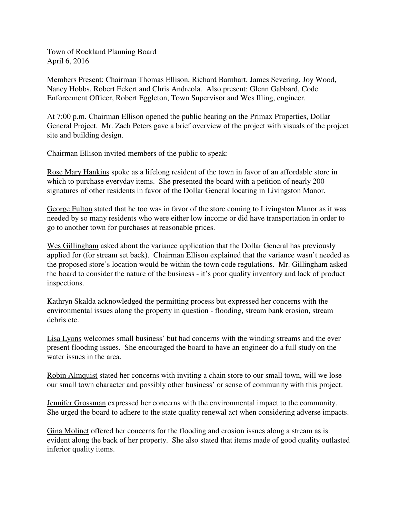Town of Rockland Planning Board April 6, 2016

Members Present: Chairman Thomas Ellison, Richard Barnhart, James Severing, Joy Wood, Nancy Hobbs, Robert Eckert and Chris Andreola. Also present: Glenn Gabbard, Code Enforcement Officer, Robert Eggleton, Town Supervisor and Wes Illing, engineer.

At 7:00 p.m. Chairman Ellison opened the public hearing on the Primax Properties, Dollar General Project. Mr. Zach Peters gave a brief overview of the project with visuals of the project site and building design.

Chairman Ellison invited members of the public to speak:

Rose Mary Hankins spoke as a lifelong resident of the town in favor of an affordable store in which to purchase everyday items. She presented the board with a petition of nearly 200 signatures of other residents in favor of the Dollar General locating in Livingston Manor.

George Fulton stated that he too was in favor of the store coming to Livingston Manor as it was needed by so many residents who were either low income or did have transportation in order to go to another town for purchases at reasonable prices.

Wes Gillingham asked about the variance application that the Dollar General has previously applied for (for stream set back). Chairman Ellison explained that the variance wasn't needed as the proposed store's location would be within the town code regulations. Mr. Gillingham asked the board to consider the nature of the business - it's poor quality inventory and lack of product inspections.

Kathryn Skalda acknowledged the permitting process but expressed her concerns with the environmental issues along the property in question - flooding, stream bank erosion, stream debris etc.

Lisa Lyons welcomes small business' but had concerns with the winding streams and the ever present flooding issues. She encouraged the board to have an engineer do a full study on the water issues in the area.

Robin Almquist stated her concerns with inviting a chain store to our small town, will we lose our small town character and possibly other business' or sense of community with this project.

Jennifer Grossman expressed her concerns with the environmental impact to the community. She urged the board to adhere to the state quality renewal act when considering adverse impacts.

Gina Molinet offered her concerns for the flooding and erosion issues along a stream as is evident along the back of her property. She also stated that items made of good quality outlasted inferior quality items.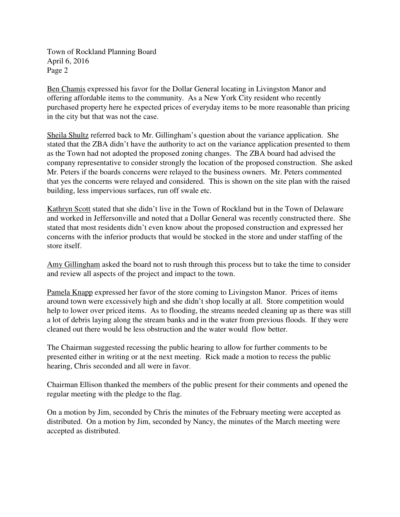Town of Rockland Planning Board April 6, 2016 Page 2

Ben Chamis expressed his favor for the Dollar General locating in Livingston Manor and offering affordable items to the community. As a New York City resident who recently purchased property here he expected prices of everyday items to be more reasonable than pricing in the city but that was not the case.

Sheila Shultz referred back to Mr. Gillingham's question about the variance application. She stated that the ZBA didn't have the authority to act on the variance application presented to them as the Town had not adopted the proposed zoning changes. The ZBA board had advised the company representative to consider strongly the location of the proposed construction. She asked Mr. Peters if the boards concerns were relayed to the business owners. Mr. Peters commented that yes the concerns were relayed and considered. This is shown on the site plan with the raised building, less impervious surfaces, run off swale etc.

Kathryn Scott stated that she didn't live in the Town of Rockland but in the Town of Delaware and worked in Jeffersonville and noted that a Dollar General was recently constructed there. She stated that most residents didn't even know about the proposed construction and expressed her concerns with the inferior products that would be stocked in the store and under staffing of the store itself.

Amy Gillingham asked the board not to rush through this process but to take the time to consider and review all aspects of the project and impact to the town.

Pamela Knapp expressed her favor of the store coming to Livingston Manor. Prices of items around town were excessively high and she didn't shop locally at all. Store competition would help to lower over priced items. As to flooding, the streams needed cleaning up as there was still a lot of debris laying along the stream banks and in the water from previous floods. If they were cleaned out there would be less obstruction and the water would flow better.

The Chairman suggested recessing the public hearing to allow for further comments to be presented either in writing or at the next meeting. Rick made a motion to recess the public hearing, Chris seconded and all were in favor.

Chairman Ellison thanked the members of the public present for their comments and opened the regular meeting with the pledge to the flag.

On a motion by Jim, seconded by Chris the minutes of the February meeting were accepted as distributed. On a motion by Jim, seconded by Nancy, the minutes of the March meeting were accepted as distributed.